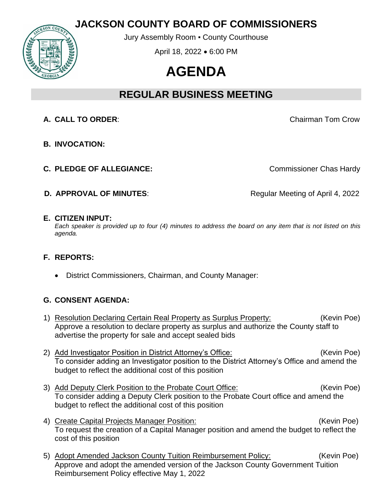## **JACKSON COUNTY BOARD OF COMMISSIONERS**



Jury Assembly Room ▪ County Courthouse

April 18, 2022 • 6:00 PM

# **AGENDA**

# **REGULAR BUSINESS MEETING**

**A. CALL TO ORDER**: Chairman Tom Crow

- **B. INVOCATION:**
- **C. PLEDGE OF ALLEGIANCE:** C. **PLEDGE OF ALLEGIANCE:**

**D. APPROVAL OF MINUTES:** Regular Meeting of April 4, 2022

#### **E. CITIZEN INPUT:**

*Each speaker is provided up to four (4) minutes to address the board on any item that is not listed on this agenda.*

### **F. REPORTS:**

• District Commissioners, Chairman, and County Manager:

#### **G. CONSENT AGENDA:**

- 1) Resolution Declaring Certain Real Property as Surplus Property: (Kevin Poe) Approve a resolution to declare property as surplus and authorize the County staff to advertise the property for sale and accept sealed bids
- 2) Add Investigator Position in District Attorney's Office: (Kevin Poe) To consider adding an Investigator position to the District Attorney's Office and amend the budget to reflect the additional cost of this position
- 3) Add Deputy Clerk Position to the Probate Court Office: (Kevin Poe) To consider adding a Deputy Clerk position to the Probate Court office and amend the budget to reflect the additional cost of this position
- 4) Create Capital Projects Manager Position: (Kevin Poe) To request the creation of a Capital Manager position and amend the budget to reflect the cost of this position
- 5) Adopt Amended Jackson County Tuition Reimbursement Policy: (Kevin Poe) Approve and adopt the amended version of the Jackson County Government Tuition Reimbursement Policy effective May 1, 2022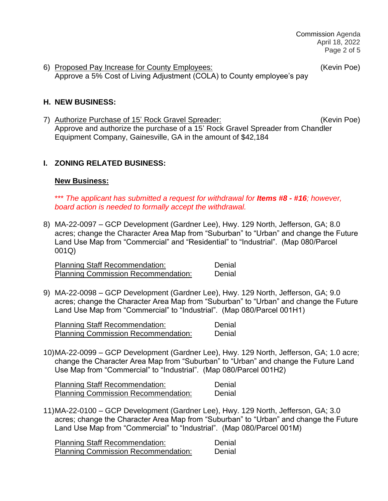6) Proposed Pay Increase for County Employees: (Kevin Poe) Approve a 5% Cost of Living Adjustment (COLA) to County employee's pay

#### **H. NEW BUSINESS:**

7) Authorize Purchase of 15' Rock Gravel Spreader: (Kevin Poe) Approve and authorize the purchase of a 15' Rock Gravel Spreader from Chandler Equipment Company, Gainesville, GA in the amount of \$42,184

#### **I. ZONING RELATED BUSINESS:**

#### **New Business:**

\*\*\* *The* a*pplicant has submitted a request for withdrawal for Items #8 - #16; however, board action is needed to formally accept the withdrawal.*

8) MA-22-0097 – GCP Development (Gardner Lee), Hwy. 129 North, Jefferson, GA; 8.0 acres; change the Character Area Map from "Suburban" to "Urban" and change the Future Land Use Map from "Commercial" and "Residential" to "Industrial". (Map 080/Parcel 001Q)

Planning Staff Recommendation: Denial Planning Commission Recommendation: Denial

9) MA-22-0098 – GCP Development (Gardner Lee), Hwy. 129 North, Jefferson, GA; 9.0 acres; change the Character Area Map from "Suburban" to "Urban" and change the Future Land Use Map from "Commercial" to "Industrial". (Map 080/Parcel 001H1)

Planning Staff Recommendation: Denial Planning Commission Recommendation: Denial

10)MA-22-0099 – GCP Development (Gardner Lee), Hwy. 129 North, Jefferson, GA; 1.0 acre; change the Character Area Map from "Suburban" to "Urban" and change the Future Land Use Map from "Commercial" to "Industrial". (Map 080/Parcel 001H2)

Planning Staff Recommendation: Denial Planning Commission Recommendation: Denial

11)MA-22-0100 – GCP Development (Gardner Lee), Hwy. 129 North, Jefferson, GA; 3.0 acres; change the Character Area Map from "Suburban" to "Urban" and change the Future Land Use Map from "Commercial" to "Industrial". (Map 080/Parcel 001M)

Planning Staff Recommendation: Denial Planning Commission Recommendation: Denial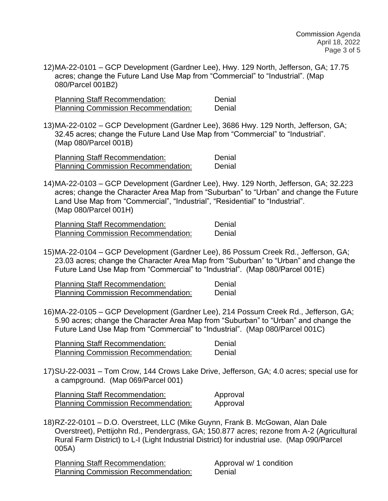12)MA-22-0101 – GCP Development (Gardner Lee), Hwy. 129 North, Jefferson, GA; 17.75 acres; change the Future Land Use Map from "Commercial" to "Industrial". (Map 080/Parcel 001B2)

Planning Staff Recommendation: Denial Planning Commission Recommendation: Denial

13)MA-22-0102 – GCP Development (Gardner Lee), 3686 Hwy. 129 North, Jefferson, GA; 32.45 acres; change the Future Land Use Map from "Commercial" to "Industrial". (Map 080/Parcel 001B)

Planning Staff Recommendation: Denial Planning Commission Recommendation: Denial

14)MA-22-0103 – GCP Development (Gardner Lee), Hwy. 129 North, Jefferson, GA; 32.223 acres; change the Character Area Map from "Suburban" to "Urban" and change the Future Land Use Map from "Commercial", "Industrial", "Residential" to "Industrial". (Map 080/Parcel 001H)

Planning Staff Recommendation: Denial Planning Commission Recommendation: Denial

15)MA-22-0104 – GCP Development (Gardner Lee), 86 Possum Creek Rd., Jefferson, GA; 23.03 acres; change the Character Area Map from "Suburban" to "Urban" and change the Future Land Use Map from "Commercial" to "Industrial". (Map 080/Parcel 001E)

Planning Staff Recommendation: Denial Planning Commission Recommendation: Denial

16)MA-22-0105 – GCP Development (Gardner Lee), 214 Possum Creek Rd., Jefferson, GA; 5.90 acres; change the Character Area Map from "Suburban" to "Urban" and change the Future Land Use Map from "Commercial" to "Industrial". (Map 080/Parcel 001C)

Planning Staff Recommendation: Denial Planning Commission Recommendation: Denial

17)SU-22-0031 – Tom Crow, 144 Crows Lake Drive, Jefferson, GA; 4.0 acres; special use for a campground. (Map 069/Parcel 001)

Planning Staff Recommendation: Approval Planning Commission Recommendation: Approval

18)RZ-22-0101 – D.O. Overstreet, LLC (Mike Guynn, Frank B. McGowan, Alan Dale Overstreet), Pettijohn Rd., Pendergrass, GA; 150.877 acres; rezone from A-2 (Agricultural Rural Farm District) to L-I (Light Industrial District) for industrial use. (Map 090/Parcel 005A)

Planning Staff Recommendation: Approval w/ 1 condition Planning Commission Recommendation: Denial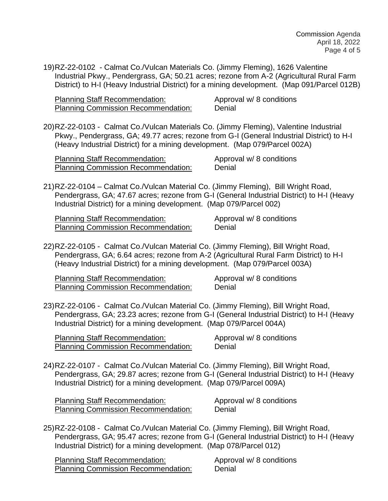19)RZ-22-0102 - Calmat Co./Vulcan Materials Co. (Jimmy Fleming), 1626 Valentine Industrial Pkwy., Pendergrass, GA; 50.21 acres; rezone from A-2 (Agricultural Rural Farm District) to H-I (Heavy Industrial District) for a mining development. (Map 091/Parcel 012B)

Planning Staff Recommendation: Approval w/ 8 conditions Planning Commission Recommendation: Denial

20)RZ-22-0103 - Calmat Co./Vulcan Materials Co. (Jimmy Fleming), Valentine Industrial Pkwy., Pendergrass, GA; 49.77 acres; rezone from G-I (General Industrial District) to H-I (Heavy Industrial District) for a mining development. (Map 079/Parcel 002A)

| <b>Planning Staff Recommendation:</b>      | Approval w/ 8 conditions |
|--------------------------------------------|--------------------------|
| <b>Planning Commission Recommendation:</b> | Denial                   |

21)RZ-22-0104 – Calmat Co./Vulcan Material Co. (Jimmy Fleming), Bill Wright Road, Pendergrass, GA; 47.67 acres; rezone from G-I (General Industrial District) to H-I (Heavy Industrial District) for a mining development. (Map 079/Parcel 002)

Planning Staff Recommendation: Approval w/8 conditions Planning Commission Recommendation: Denial

22)RZ-22-0105 - Calmat Co./Vulcan Material Co. (Jimmy Fleming), Bill Wright Road, Pendergrass, GA; 6.64 acres; rezone from A-2 (Agricultural Rural Farm District) to H-I (Heavy Industrial District) for a mining development. (Map 079/Parcel 003A)

Planning Staff Recommendation: Approval w/ 8 conditions Planning Commission Recommendation: Denial

23)RZ-22-0106 - Calmat Co./Vulcan Material Co. (Jimmy Fleming), Bill Wright Road, Pendergrass, GA; 23.23 acres; rezone from G-I (General Industrial District) to H-I (Heavy Industrial District) for a mining development. (Map 079/Parcel 004A)

Planning Staff Recommendation: Approval w/8 conditions Planning Commission Recommendation: Denial

24)RZ-22-0107 - Calmat Co./Vulcan Material Co. (Jimmy Fleming), Bill Wright Road, Pendergrass, GA; 29.87 acres; rezone from G-I (General Industrial District) to H-I (Heavy Industrial District) for a mining development. (Map 079/Parcel 009A)

Planning Staff Recommendation: Approval w/ 8 conditions Planning Commission Recommendation: Denial

25)RZ-22-0108 - Calmat Co./Vulcan Material Co. (Jimmy Fleming), Bill Wright Road, Pendergrass, GA; 95.47 acres; rezone from G-I (General Industrial District) to H-I (Heavy Industrial District) for a mining development. (Map 078/Parcel 012)

Planning Staff Recommendation: Approval w/ 8 conditions Planning Commission Recommendation: Denial